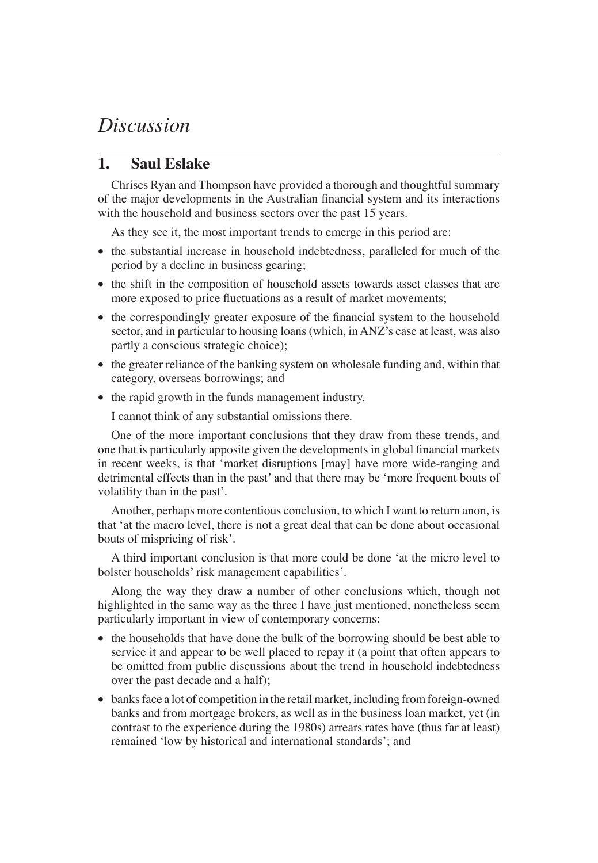## *Discussion*

## **1. Saul Eslake**

Chrises Ryan and Thompson have provided a thorough and thoughtful summary of the major developments in the Australian financial system and its interactions with the household and business sectors over the past 15 years.

As they see it, the most important trends to emerge in this period are:

- the substantial increase in household indebtedness, paralleled for much of the period by a decline in business gearing;
- the shift in the composition of household assets towards asset classes that are more exposed to price fluctuations as a result of market movements;
- the correspondingly greater exposure of the financial system to the household sector, and in particular to housing loans (which, in ANZ's case at least, was also partly a conscious strategic choice);
- the greater reliance of the banking system on wholesale funding and, within that category, overseas borrowings; and
- the rapid growth in the funds management industry.

I cannot think of any substantial omissions there.

One of the more important conclusions that they draw from these trends, and one that is particularly apposite given the developments in global financial markets in recent weeks, is that 'market disruptions [may] have more wide-ranging and detrimental effects than in the past' and that there may be 'more frequent bouts of volatility than in the past'.

Another, perhaps more contentious conclusion, to which I want to return anon, is that 'at the macro level, there is not a great deal that can be done about occasional bouts of mispricing of risk'.

A third important conclusion is that more could be done 'at the micro level to bolster households' risk management capabilities'.

Along the way they draw a number of other conclusions which, though not highlighted in the same way as the three I have just mentioned, nonetheless seem particularly important in view of contemporary concerns:

- the households that have done the bulk of the borrowing should be best able to service it and appear to be well placed to repay it (a point that often appears to be omitted from public discussions about the trend in household indebtedness over the past decade and a half);
- banks face a lot of competition in the retail market, including from foreign-owned banks and from mortgage brokers, as well as in the business loan market, yet (in contrast to the experience during the 1980s) arrears rates have (thus far at least) remained 'low by historical and international standards'; and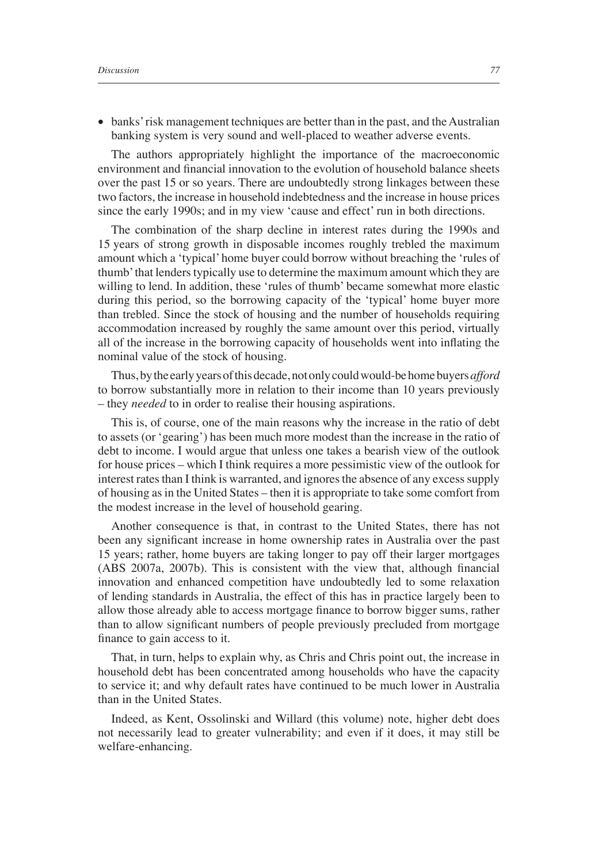• banks' risk management techniques are better than in the past, and the Australian banking system is very sound and well-placed to weather adverse events.

The authors appropriately highlight the importance of the macroeconomic environment and financial innovation to the evolution of household balance sheets over the past 15 or so years. There are undoubtedly strong linkages between these two factors, the increase in household indebtedness and the increase in house prices since the early 1990s; and in my view 'cause and effect' run in both directions.

The combination of the sharp decline in interest rates during the 1990s and 15 years of strong growth in disposable incomes roughly trebled the maximum amount which a 'typical' home buyer could borrow without breaching the 'rules of thumb' that lenders typically use to determine the maximum amount which they are willing to lend. In addition, these 'rules of thumb' became somewhat more elastic during this period, so the borrowing capacity of the 'typical' home buyer more than trebled. Since the stock of housing and the number of households requiring accommodation increased by roughly the same amount over this period, virtually all of the increase in the borrowing capacity of households went into inflating the nominal value of the stock of housing.

Thus, by the early years of this decade, not only could would-be home buyers *afford* to borrow substantially more in relation to their income than 10 years previously – they *needed* to in order to realise their housing aspirations.

This is, of course, one of the main reasons why the increase in the ratio of debt to assets (or 'gearing') has been much more modest than the increase in the ratio of debt to income. I would argue that unless one takes a bearish view of the outlook for house prices – which I think requires a more pessimistic view of the outlook for interest rates than I think is warranted, and ignores the absence of any excess supply of housing as in the United States – then it is appropriate to take some comfort from the modest increase in the level of household gearing.

Another consequence is that, in contrast to the United States, there has not been any significant increase in home ownership rates in Australia over the past 15 years; rather, home buyers are taking longer to pay off their larger mortgages  $(ABS 2007a, 2007b)$ . This is consistent with the view that, although financial innovation and enhanced competition have undoubtedly led to some relaxation of lending standards in Australia, the effect of this has in practice largely been to allow those already able to access mortgage finance to borrow bigger sums, rather than to allow significant numbers of people previously precluded from mortgage finance to gain access to it.

That, in turn, helps to explain why, as Chris and Chris point out, the increase in household debt has been concentrated among households who have the capacity to service it; and why default rates have continued to be much lower in Australia than in the United States.

Indeed, as Kent, Ossolinski and Willard (this volume) note, higher debt does not necessarily lead to greater vulnerability; and even if it does, it may still be welfare-enhancing.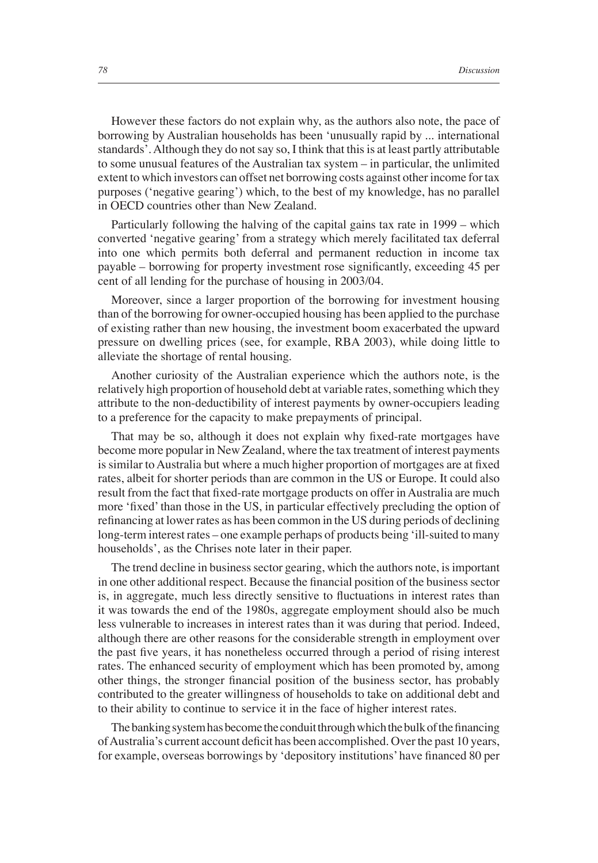However these factors do not explain why, as the authors also note, the pace of borrowing by Australian households has been 'unusually rapid by ... international standards'. Although they do not say so, I think that this is at least partly attributable to some unusual features of the Australian tax system – in particular, the unlimited extent to which investors can offset net borrowing costs against other income for tax purposes ('negative gearing') which, to the best of my knowledge, has no parallel in OECD countries other than New Zealand.

Particularly following the halving of the capital gains tax rate in 1999 – which converted 'negative gearing' from a strategy which merely facilitated tax deferral into one which permits both deferral and permanent reduction in income tax payable – borrowing for property investment rose significantly, exceeding 45 per cent of all lending for the purchase of housing in 2003/04.

Moreover, since a larger proportion of the borrowing for investment housing than of the borrowing for owner-occupied housing has been applied to the purchase of existing rather than new housing, the investment boom exacerbated the upward pressure on dwelling prices (see, for example, RBA 2003), while doing little to alleviate the shortage of rental housing.

Another curiosity of the Australian experience which the authors note, is the relatively high proportion of household debt at variable rates, something which they attribute to the non-deductibility of interest payments by owner-occupiers leading to a preference for the capacity to make prepayments of principal.

That may be so, although it does not explain why fixed-rate mortgages have become more popular in New Zealand, where the tax treatment of interest payments is similar to Australia but where a much higher proportion of mortgages are at fixed rates, albeit for shorter periods than are common in the US or Europe. It could also result from the fact that fixed-rate mortgage products on offer in Australia are much more 'fixed' than those in the US, in particular effectively precluding the option of refinancing at lower rates as has been common in the US during periods of declining long-term interest rates – one example perhaps of products being 'ill-suited to many households', as the Chrises note later in their paper.

The trend decline in business sector gearing, which the authors note, is important in one other additional respect. Because the financial position of the business sector is, in aggregate, much less directly sensitive to fluctuations in interest rates than it was towards the end of the 1980s, aggregate employment should also be much less vulnerable to increases in interest rates than it was during that period. Indeed, although there are other reasons for the considerable strength in employment over the past five years, it has nonetheless occurred through a period of rising interest rates. The enhanced security of employment which has been promoted by, among other things, the stronger financial position of the business sector, has probably contributed to the greater willingness of households to take on additional debt and to their ability to continue to service it in the face of higher interest rates.

The banking system has become the conduit through which the bulk of the financing of Australia's current account deficit has been accomplished. Over the past 10 years, for example, overseas borrowings by 'depository institutions' have financed 80 per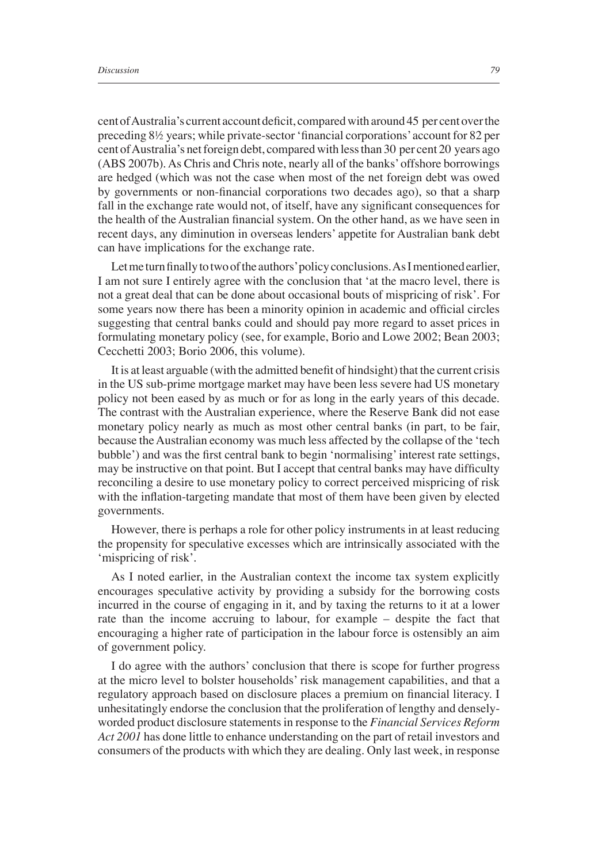cent of Australia's current account deficit, compared with around 45 per cent over the preceding 8½ years; while private-sector 'financial corporations' account for 82 per cent of Australia's net foreign debt, compared with less than 30 per cent 20 years ago (ABS 2007b). As Chris and Chris note, nearly all of the banks' offshore borrowings are hedged (which was not the case when most of the net foreign debt was owed by governments or non-financial corporations two decades ago), so that a sharp fall in the exchange rate would not, of itself, have any significant consequences for the health of the Australian financial system. On the other hand, as we have seen in recent days, any diminution in overseas lenders' appetite for Australian bank debt can have implications for the exchange rate.

Let me turn finally to two of the authors' policy conclusions. As I mentioned earlier, I am not sure I entirely agree with the conclusion that 'at the macro level, there is not a great deal that can be done about occasional bouts of mispricing of risk'. For some years now there has been a minority opinion in academic and official circles suggesting that central banks could and should pay more regard to asset prices in formulating monetary policy (see, for example, Borio and Lowe 2002; Bean 2003; Cecchetti 2003; Borio 2006, this volume).

It is at least arguable (with the admitted benefit of hindsight) that the current crisis in the US sub-prime mortgage market may have been less severe had US monetary policy not been eased by as much or for as long in the early years of this decade. The contrast with the Australian experience, where the Reserve Bank did not ease monetary policy nearly as much as most other central banks (in part, to be fair, because the Australian economy was much less affected by the collapse of the 'tech bubble') and was the first central bank to begin 'normalising' interest rate settings, may be instructive on that point. But I accept that central banks may have difficulty reconciling a desire to use monetary policy to correct perceived mispricing of risk with the inflation-targeting mandate that most of them have been given by elected governments.

However, there is perhaps a role for other policy instruments in at least reducing the propensity for speculative excesses which are intrinsically associated with the 'mispricing of risk'.

As I noted earlier, in the Australian context the income tax system explicitly encourages speculative activity by providing a subsidy for the borrowing costs incurred in the course of engaging in it, and by taxing the returns to it at a lower rate than the income accruing to labour, for example – despite the fact that encouraging a higher rate of participation in the labour force is ostensibly an aim of government policy.

I do agree with the authors' conclusion that there is scope for further progress at the micro level to bolster households' risk management capabilities, and that a regulatory approach based on disclosure places a premium on financial literacy. I unhesitatingly endorse the conclusion that the proliferation of lengthy and denselyworded product disclosure statements in response to the *Financial Services Reform Act 2001* has done little to enhance understanding on the part of retail investors and consumers of the products with which they are dealing. Only last week, in response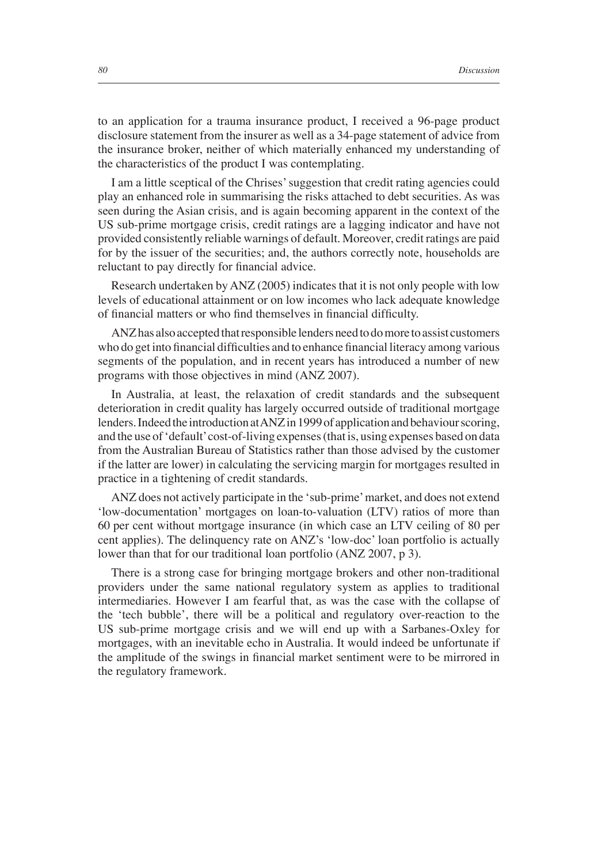to an application for a trauma insurance product, I received a 96-page product disclosure statement from the insurer as well as a 34-page statement of advice from the insurance broker, neither of which materially enhanced my understanding of the characteristics of the product I was contemplating.

I am a little sceptical of the Chrises' suggestion that credit rating agencies could play an enhanced role in summarising the risks attached to debt securities. As was seen during the Asian crisis, and is again becoming apparent in the context of the US sub-prime mortgage crisis, credit ratings are a lagging indicator and have not provided consistently reliable warnings of default. Moreover, credit ratings are paid for by the issuer of the securities; and, the authors correctly note, households are reluctant to pay directly for financial advice.

Research undertaken by ANZ (2005) indicates that it is not only people with low levels of educational attainment or on low incomes who lack adequate knowledge of financial matters or who find themselves in financial difficulty.

ANZ has also accepted that responsible lenders need to do more to assist customers who do get into financial difficulties and to enhance financial literacy among various segments of the population, and in recent years has introduced a number of new programs with those objectives in mind (ANZ 2007).

In Australia, at least, the relaxation of credit standards and the subsequent deterioration in credit quality has largely occurred outside of traditional mortgage lenders. Indeed the introduction at ANZ in 1999 of application and behaviour scoring, and the use of 'default' cost-of-living expenses (that is, using expenses based on data from the Australian Bureau of Statistics rather than those advised by the customer if the latter are lower) in calculating the servicing margin for mortgages resulted in practice in a tightening of credit standards.

ANZ does not actively participate in the 'sub-prime' market, and does not extend 'low-documentation' mortgages on loan-to-valuation (LTV) ratios of more than 60 per cent without mortgage insurance (in which case an LTV ceiling of 80 per cent applies). The delinquency rate on ANZ's 'low-doc' loan portfolio is actually lower than that for our traditional loan portfolio (ANZ 2007, p 3).

There is a strong case for bringing mortgage brokers and other non-traditional providers under the same national regulatory system as applies to traditional intermediaries. However I am fearful that, as was the case with the collapse of the 'tech bubble', there will be a political and regulatory over-reaction to the US sub-prime mortgage crisis and we will end up with a Sarbanes-Oxley for mortgages, with an inevitable echo in Australia. It would indeed be unfortunate if the amplitude of the swings in financial market sentiment were to be mirrored in the regulatory framework.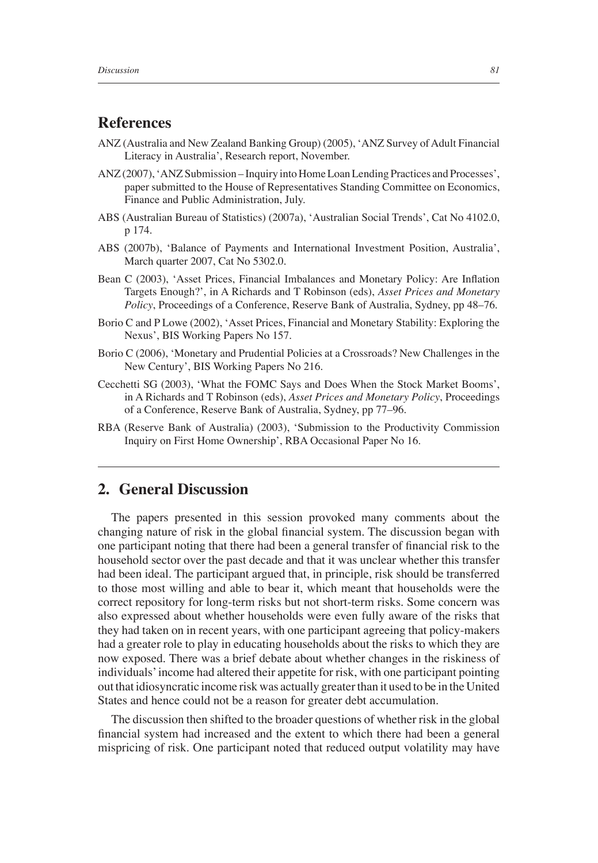## **References**

- ANZ (Australia and New Zealand Banking Group) (2005), 'ANZ Survey of Adult Financial Literacy in Australia', Research report, November.
- ANZ (2007), 'ANZ Submission Inquiry into Home Loan Lending Practices and Processes', paper submitted to the House of Representatives Standing Committee on Economics, Finance and Public Administration, July.
- ABS (Australian Bureau of Statistics) (2007a), 'Australian Social Trends', Cat No 4102.0, p 174.
- ABS (2007b), 'Balance of Payments and International Investment Position, Australia', March quarter 2007, Cat No 5302.0.
- Bean C (2003), 'Asset Prices, Financial Imbalances and Monetary Policy: Are Inflation Targets Enough?', in A Richards and T Robinson (eds), *Asset Prices and Monetary Policy*, Proceedings of a Conference, Reserve Bank of Australia, Sydney, pp 48–76.
- Borio C and P Lowe (2002), 'Asset Prices, Financial and Monetary Stability: Exploring the Nexus', BIS Working Papers No 157.
- Borio C (2006), 'Monetary and Prudential Policies at a Crossroads? New Challenges in the New Century', BIS Working Papers No 216.
- Cecchetti SG (2003), 'What the FOMC Says and Does When the Stock Market Booms', in A Richards and T Robinson (eds), *Asset Prices and Monetary Policy*, Proceedings of a Conference, Reserve Bank of Australia, Sydney, pp 77–96.
- RBA (Reserve Bank of Australia) (2003), 'Submission to the Productivity Commission Inquiry on First Home Ownership', RBA Occasional Paper No 16.

## **2. General Discussion**

The papers presented in this session provoked many comments about the changing nature of risk in the global financial system. The discussion began with one participant noting that there had been a general transfer of financial risk to the household sector over the past decade and that it was unclear whether this transfer had been ideal. The participant argued that, in principle, risk should be transferred to those most willing and able to bear it, which meant that households were the correct repository for long-term risks but not short-term risks. Some concern was also expressed about whether households were even fully aware of the risks that they had taken on in recent years, with one participant agreeing that policy-makers had a greater role to play in educating households about the risks to which they are now exposed. There was a brief debate about whether changes in the riskiness of individuals' income had altered their appetite for risk, with one participant pointing out that idiosyncratic income risk was actually greater than it used to be in the United States and hence could not be a reason for greater debt accumulation.

The discussion then shifted to the broader questions of whether risk in the global financial system had increased and the extent to which there had been a general mispricing of risk. One participant noted that reduced output volatility may have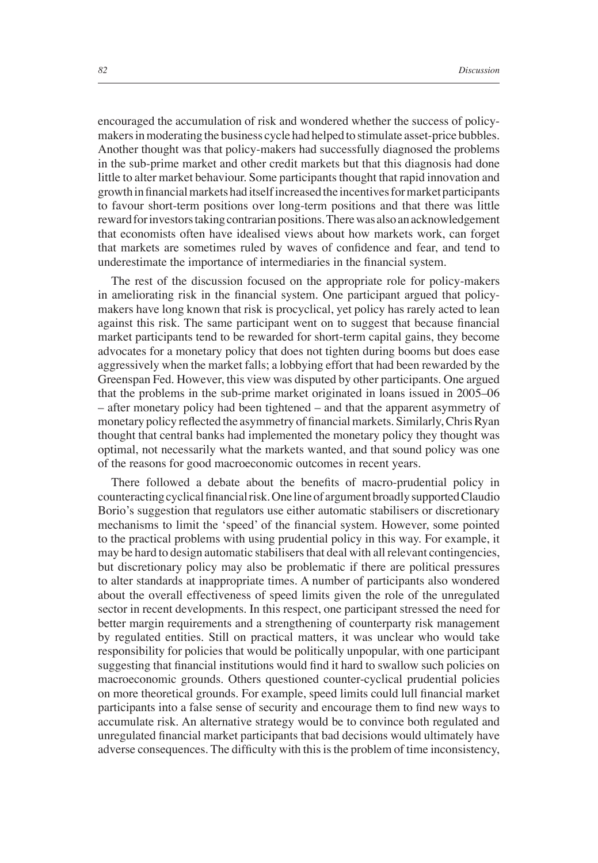encouraged the accumulation of risk and wondered whether the success of policymakers in moderating the business cycle had helped to stimulate asset-price bubbles. Another thought was that policy-makers had successfully diagnosed the problems in the sub-prime market and other credit markets but that this diagnosis had done little to alter market behaviour. Some participants thought that rapid innovation and growth in financial markets had itself increased the incentives for market participants to favour short-term positions over long-term positions and that there was little reward for investors taking contrarian positions. There was also an acknowledgement that economists often have idealised views about how markets work, can forget that markets are sometimes ruled by waves of confidence and fear, and tend to underestimate the importance of intermediaries in the financial system.

The rest of the discussion focused on the appropriate role for policy-makers in ameliorating risk in the financial system. One participant argued that policymakers have long known that risk is procyclical, yet policy has rarely acted to lean against this risk. The same participant went on to suggest that because financial market participants tend to be rewarded for short-term capital gains, they become advocates for a monetary policy that does not tighten during booms but does ease aggressively when the market falls; a lobbying effort that had been rewarded by the Greenspan Fed. However, this view was disputed by other participants. One argued that the problems in the sub-prime market originated in loans issued in 2005–06 – after monetary policy had been tightened – and that the apparent asymmetry of monetary policy reflected the asymmetry of financial markets. Similarly, Chris Ryan thought that central banks had implemented the monetary policy they thought was optimal, not necessarily what the markets wanted, and that sound policy was one of the reasons for good macroeconomic outcomes in recent years.

There followed a debate about the benefits of macro-prudential policy in counteracting cyclical financial risk. One line of argument broadly supported Claudio Borio's suggestion that regulators use either automatic stabilisers or discretionary mechanisms to limit the 'speed' of the financial system. However, some pointed to the practical problems with using prudential policy in this way. For example, it may be hard to design automatic stabilisers that deal with all relevant contingencies, but discretionary policy may also be problematic if there are political pressures to alter standards at inappropriate times. A number of participants also wondered about the overall effectiveness of speed limits given the role of the unregulated sector in recent developments. In this respect, one participant stressed the need for better margin requirements and a strengthening of counterparty risk management by regulated entities. Still on practical matters, it was unclear who would take responsibility for policies that would be politically unpopular, with one participant suggesting that financial institutions would find it hard to swallow such policies on macroeconomic grounds. Others questioned counter-cyclical prudential policies on more theoretical grounds. For example, speed limits could lull financial market participants into a false sense of security and encourage them to find new ways to accumulate risk. An alternative strategy would be to convince both regulated and unregulated financial market participants that bad decisions would ultimately have adverse consequences. The difficulty with this is the problem of time inconsistency,